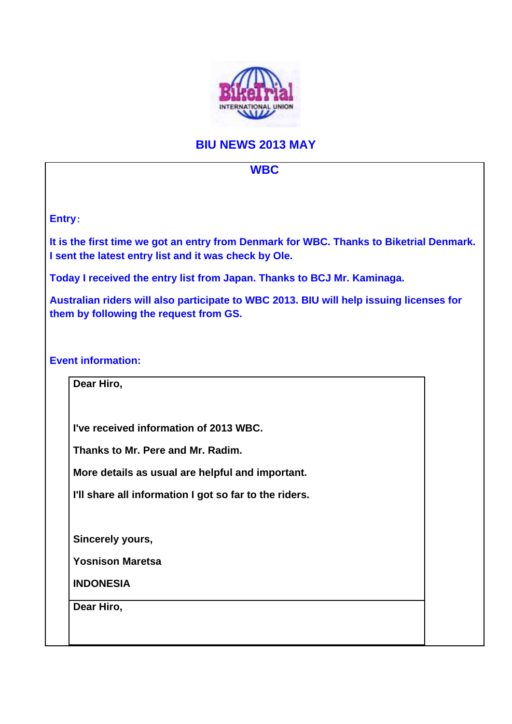

## **BIU NEWS 2013 MAY**

## **WBC**

**Entry**:

**It is the first time we got an entry from Denmark for WBC. Thanks to Biketrial Denmark. I sent the latest entry list and it was check by Ole.** 

**Today I received the entry list from Japan. Thanks to BCJ Mr. Kaminaga.** 

**Australian riders will also participate to WBC 2013. BIU will help issuing licenses for them by following the request from GS.** 

**Event information:** 

**Dear Hiro, I've received information of 2013 WBC. Thanks to Mr. Pere and Mr. Radim. More details as usual are helpful and important. I'll share all information I got so far to the riders. Sincerely yours, Yosnison Maretsa INDONESIA Dear Hiro,**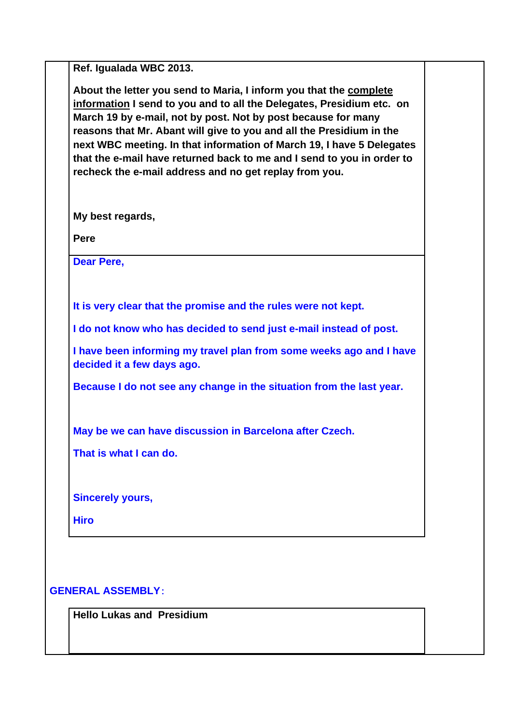**Ref. Igualada WBC 2013.** 

**About the letter you send to Maria, I inform you that the complete information I send to you and to all the Delegates, Presidium etc. on March 19 by e-mail, not by post. Not by post because for many reasons that Mr. Abant will give to you and all the Presidium in the next WBC meeting. In that information of March 19, I have 5 Delegates that the e-mail have returned back to me and I send to you in order to recheck the e-mail address and no get replay from you.** 

**My best regards,** 

**Pere** 

**Dear Pere,** 

**It is very clear that the promise and the rules were not kept.** 

**I do not know who has decided to send just e-mail instead of post.** 

**I have been informing my travel plan from some weeks ago and I have decided it a few days ago.** 

**Because I do not see any change in the situation from the last year.** 

**May be we can have discussion in Barcelona after Czech.** 

**That is what I can do.** 

**Sincerely yours,** 

**Hiro** 

**GENERAL ASSEMBLY**:

**Hello Lukas and Presidium**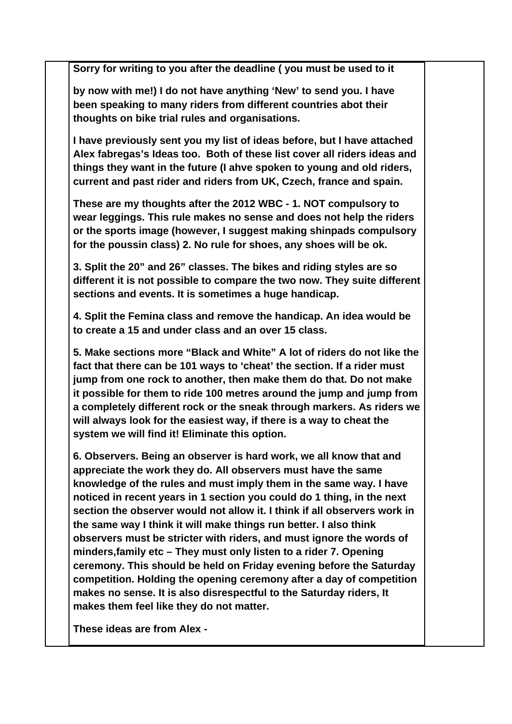**Sorry for writing to you after the deadline ( you must be used to it** 

**by now with me!) I do not have anything 'New' to send you. I have been speaking to many riders from different countries abot their thoughts on bike trial rules and organisations.** 

**I have previously sent you my list of ideas before, but I have attached Alex fabregas's Ideas too. Both of these list cover all riders ideas and things they want in the future (I ahve spoken to young and old riders, current and past rider and riders from UK, Czech, france and spain.** 

**These are my thoughts after the 2012 WBC - 1. NOT compulsory to wear leggings. This rule makes no sense and does not help the riders or the sports image (however, I suggest making shinpads compulsory for the poussin class) 2. No rule for shoes, any shoes will be ok.** 

**3. Split the 20" and 26" classes. The bikes and riding styles are so different it is not possible to compare the two now. They suite different sections and events. It is sometimes a huge handicap.** 

**4. Split the Femina class and remove the handicap. An idea would be to create a 15 and under class and an over 15 class.** 

**5. Make sections more "Black and White" A lot of riders do not like the fact that there can be 101 ways to 'cheat' the section. If a rider must jump from one rock to another, then make them do that. Do not make it possible for them to ride 100 metres around the jump and jump from a completely different rock or the sneak through markers. As riders we will always look for the easiest way, if there is a way to cheat the system we will find it! Eliminate this option.** 

**6. Observers. Being an observer is hard work, we all know that and appreciate the work they do. All observers must have the same knowledge of the rules and must imply them in the same way. I have noticed in recent years in 1 section you could do 1 thing, in the next section the observer would not allow it. I think if all observers work in the same way I think it will make things run better. I also think observers must be stricter with riders, and must ignore the words of minders,family etc – They must only listen to a rider 7. Opening ceremony. This should be held on Friday evening before the Saturday competition. Holding the opening ceremony after a day of competition makes no sense. It is also disrespectful to the Saturday riders, It makes them feel like they do not matter.** 

**These ideas are from Alex -**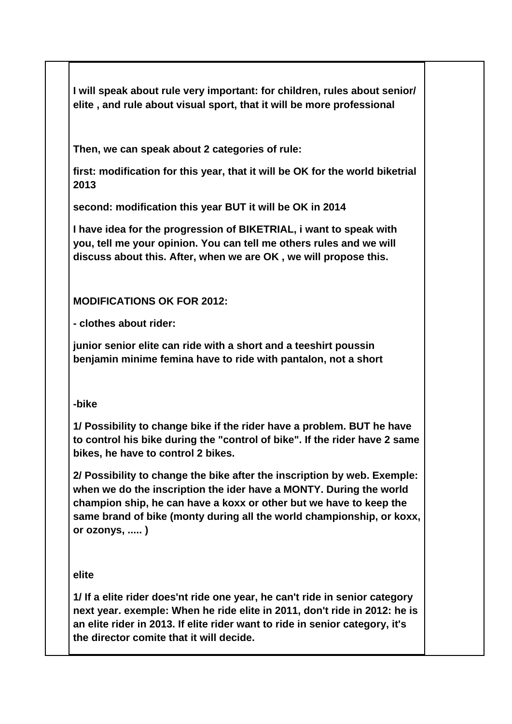**I will speak about rule very important: for children, rules about senior/ elite , and rule about visual sport, that it will be more professional** 

**Then, we can speak about 2 categories of rule:** 

**first: modification for this year, that it will be OK for the world biketrial 2013** 

**second: modification this year BUT it will be OK in 2014** 

**I have idea for the progression of BIKETRIAL, i want to speak with you, tell me your opinion. You can tell me others rules and we will discuss about this. After, when we are OK , we will propose this.** 

**MODIFICATIONS OK FOR 2012:** 

**- clothes about rider:** 

**junior senior elite can ride with a short and a teeshirt poussin benjamin minime femina have to ride with pantalon, not a short** 

## **-bike**

**1/ Possibility to change bike if the rider have a problem. BUT he have to control his bike during the "control of bike". If the rider have 2 same bikes, he have to control 2 bikes.** 

**2/ Possibility to change the bike after the inscription by web. Exemple: when we do the inscription the ider have a MONTY. During the world champion ship, he can have a koxx or other but we have to keep the same brand of bike (monty during all the world championship, or koxx, or ozonys, ..... )** 

**elite** 

**1/ If a elite rider does'nt ride one year, he can't ride in senior category next year. exemple: When he ride elite in 2011, don't ride in 2012: he is an elite rider in 2013. If elite rider want to ride in senior category, it's the director comite that it will decide.**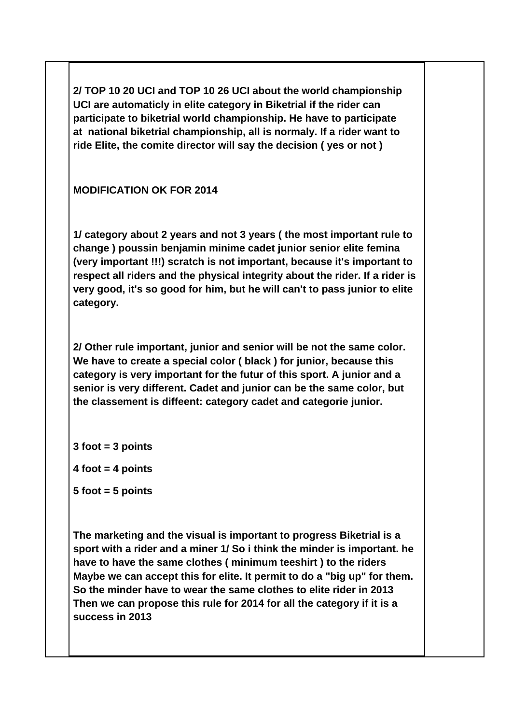**2/ TOP 10 20 UCI and TOP 10 26 UCI about the world championship UCI are automaticly in elite category in Biketrial if the rider can participate to biketrial world championship. He have to participate at national biketrial championship, all is normaly. If a rider want to ride Elite, the comite director will say the decision ( yes or not )** 

**MODIFICATION OK FOR 2014** 

**1/ category about 2 years and not 3 years ( the most important rule to change ) poussin benjamin minime cadet junior senior elite femina (very important !!!) scratch is not important, because it's important to respect all riders and the physical integrity about the rider. If a rider is very good, it's so good for him, but he will can't to pass junior to elite category.** 

**2/ Other rule important, junior and senior will be not the same color. We have to create a special color ( black ) for junior, because this category is very important for the futur of this sport. A junior and a senior is very different. Cadet and junior can be the same color, but the classement is diffeent: category cadet and categorie junior.** 

**3 foot = 3 points** 

**4 foot = 4 points** 

**5 foot = 5 points** 

**The marketing and the visual is important to progress Biketrial is a sport with a rider and a miner 1/ So i think the minder is important. he have to have the same clothes ( minimum teeshirt ) to the riders Maybe we can accept this for elite. It permit to do a "big up" for them. So the minder have to wear the same clothes to elite rider in 2013 Then we can propose this rule for 2014 for all the category if it is a success in 2013**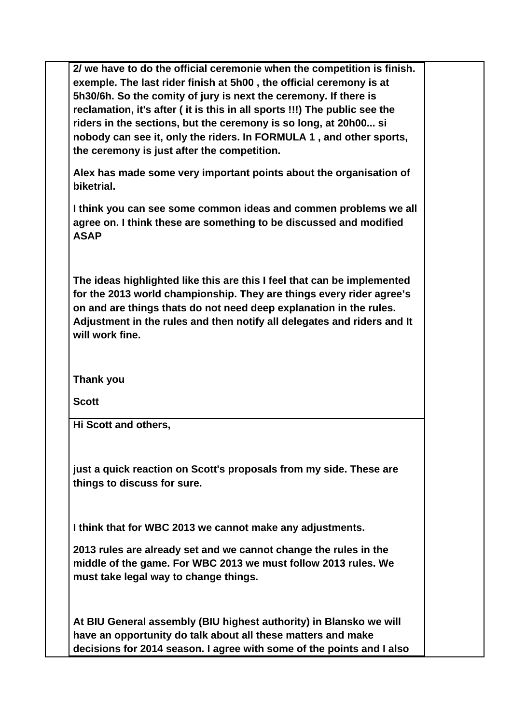**2/ we have to do the official ceremonie when the competition is finish. exemple. The last rider finish at 5h00 , the official ceremony is at 5h30/6h. So the comity of jury is next the ceremony. If there is reclamation, it's after ( it is this in all sports !!!) The public see the riders in the sections, but the ceremony is so long, at 20h00... si nobody can see it, only the riders. In FORMULA 1 , and other sports, the ceremony is just after the competition.** 

**Alex has made some very important points about the organisation of biketrial.** 

**I think you can see some common ideas and commen problems we all agree on. I think these are something to be discussed and modified ASAP** 

**The ideas highlighted like this are this I feel that can be implemented for the 2013 world championship. They are things every rider agree's on and are things thats do not need deep explanation in the rules. Adjustment in the rules and then notify all delegates and riders and It will work fine.** 

**Thank you** 

**Scott** 

**Hi Scott and others,** 

**just a quick reaction on Scott's proposals from my side. These are things to discuss for sure.** 

**I think that for WBC 2013 we cannot make any adjustments.** 

**2013 rules are already set and we cannot change the rules in the middle of the game. For WBC 2013 we must follow 2013 rules. We must take legal way to change things.** 

**At BIU General assembly (BIU highest authority) in Blansko we will have an opportunity do talk about all these matters and make decisions for 2014 season. I agree with some of the points and I also**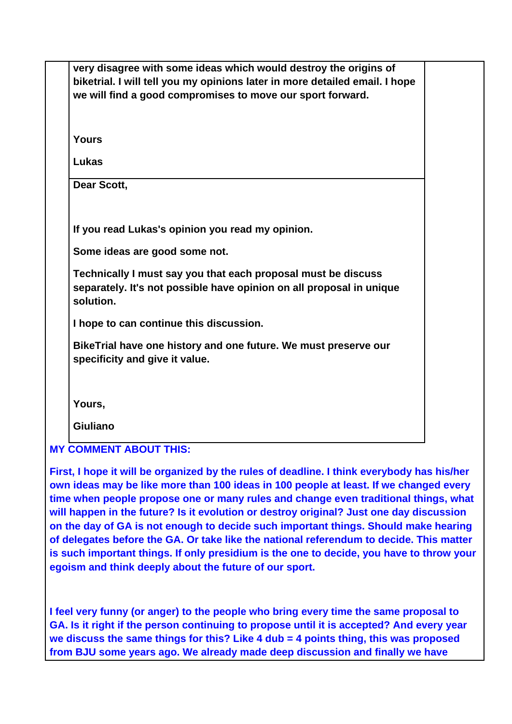| very disagree with some ideas which would destroy the origins of<br>biketrial. I will tell you my opinions later in more detailed email. I hope<br>we will find a good compromises to move our sport forward. |  |
|---------------------------------------------------------------------------------------------------------------------------------------------------------------------------------------------------------------|--|
| <b>Yours</b>                                                                                                                                                                                                  |  |
| Lukas                                                                                                                                                                                                         |  |
| Dear Scott,                                                                                                                                                                                                   |  |
| If you read Lukas's opinion you read my opinion.                                                                                                                                                              |  |
| Some ideas are good some not.                                                                                                                                                                                 |  |
| Technically I must say you that each proposal must be discuss<br>separately. It's not possible have opinion on all proposal in unique<br>solution.                                                            |  |
| I hope to can continue this discussion.                                                                                                                                                                       |  |
| BikeTrial have one history and one future. We must preserve our<br>specificity and give it value.                                                                                                             |  |
| Yours,                                                                                                                                                                                                        |  |
| <b>Giuliano</b>                                                                                                                                                                                               |  |

**First, I hope it will be organized by the rules of deadline. I think everybody has his/her own ideas may be like more than 100 ideas in 100 people at least. If we changed every time when people propose one or many rules and change even traditional things, what will happen in the future? Is it evolution or destroy original? Just one day discussion on the day of GA is not enough to decide such important things. Should make hearing of delegates before the GA. Or take like the national referendum to decide. This matter is such important things. If only presidium is the one to decide, you have to throw your egoism and think deeply about the future of our sport.** 

**I feel very funny (or anger) to the people who bring every time the same proposal to GA. Is it right if the person continuing to propose until it is accepted? And every year we discuss the same things for this? Like 4 dub = 4 points thing, this was proposed from BJU some years ago. We already made deep discussion and finally we have**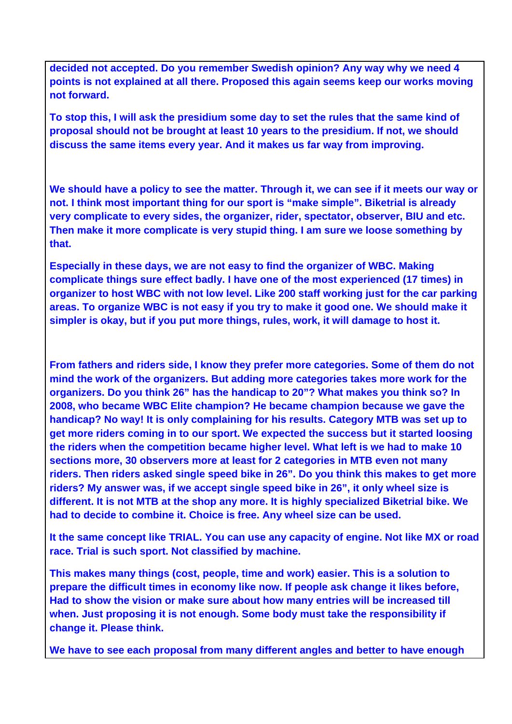**decided not accepted. Do you remember Swedish opinion? Any way why we need 4 points is not explained at all there. Proposed this again seems keep our works moving not forward.** 

**To stop this, I will ask the presidium some day to set the rules that the same kind of proposal should not be brought at least 10 years to the presidium. If not, we should discuss the same items every year. And it makes us far way from improving.** 

**We should have a policy to see the matter. Through it, we can see if it meets our way or not. I think most important thing for our sport is "make simple". Biketrial is already very complicate to every sides, the organizer, rider, spectator, observer, BIU and etc. Then make it more complicate is very stupid thing. I am sure we loose something by that.** 

**Especially in these days, we are not easy to find the organizer of WBC. Making complicate things sure effect badly. I have one of the most experienced (17 times) in organizer to host WBC with not low level. Like 200 staff working just for the car parking areas. To organize WBC is not easy if you try to make it good one. We should make it simpler is okay, but if you put more things, rules, work, it will damage to host it.** 

**From fathers and riders side, I know they prefer more categories. Some of them do not mind the work of the organizers. But adding more categories takes more work for the organizers. Do you think 26" has the handicap to 20"? What makes you think so? In 2008, who became WBC Elite champion? He became champion because we gave the handicap? No way! It is only complaining for his results. Category MTB was set up to get more riders coming in to our sport. We expected the success but it started loosing the riders when the competition became higher level. What left is we had to make 10 sections more, 30 observers more at least for 2 categories in MTB even not many riders. Then riders asked single speed bike in 26". Do you think this makes to get more riders? My answer was, if we accept single speed bike in 26", it only wheel size is different. It is not MTB at the shop any more. It is highly specialized Biketrial bike. We had to decide to combine it. Choice is free. Any wheel size can be used.** 

**It the same concept like TRIAL. You can use any capacity of engine. Not like MX or road race. Trial is such sport. Not classified by machine.** 

**This makes many things (cost, people, time and work) easier. This is a solution to prepare the difficult times in economy like now. If people ask change it likes before, Had to show the vision or make sure about how many entries will be increased till when. Just proposing it is not enough. Some body must take the responsibility if change it. Please think.** 

**We have to see each proposal from many different angles and better to have enough**